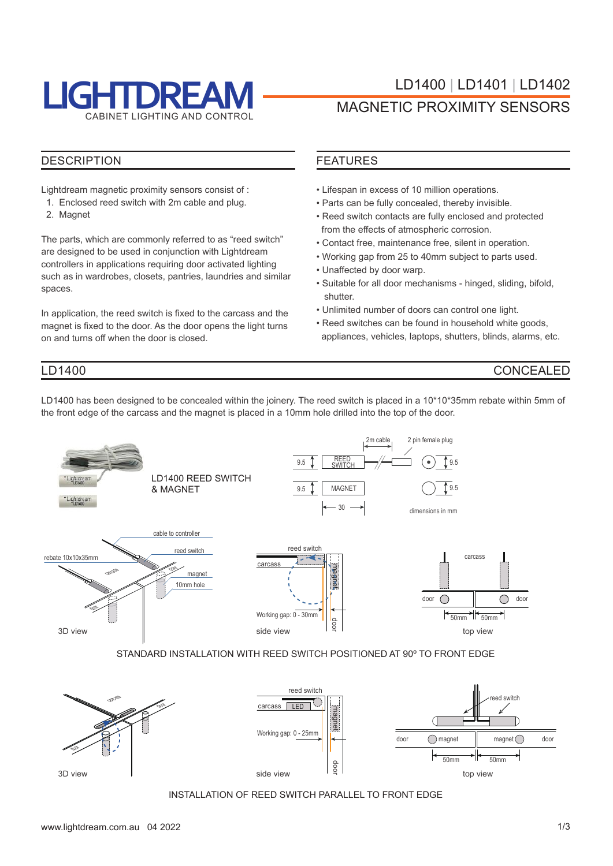

#### **DESCRIPTION**

Lightdream magnetic proximity sensors consist of :

- 1. Enclosed reed switch with 2m cable and plug.
- 2. Magnet

LD1400

The parts, which are commonly referred to as "reed switch" are designed to be used in conjunction with Lightdream controllers in applications requiring door activated lighting such as in wardrobes, closets, pantries, laundries and similar spaces.

In application, the reed switch is fixed to the carcass and the magnet is fixed to the door. As the door opens the light turns on and turns off when the door is closed.

#### FEATURES

- Lifespan in excess of 10 million operations.
- Parts can be fully concealed, thereby invisible.
- Reed switch contacts are fully enclosed and protected from the effects of atmospheric corrosion.
- Contact free, maintenance free, silent in operation.
- Working gap from 25 to 40mm subject to parts used.
- Unaffected by door warp.
- Suitable for all door mechanisms hinged, sliding, bifold, shutter.
- Unlimited number of doors can control one light.
- Reed switches can be found in household white goods, appliances, vehicles, laptops, shutters, blinds, alarms, etc.

#### CONCEALED

LD1400 has been designed to be concealed within the joinery. The reed switch is placed in a 10\*10\*35mm rebate within 5mm of the front edge of the carcass and the magnet is placed in a 10mm hole drilled into the top of the door.



STANDARD INSTALLATION WITH REED SWITCH POSITIONED AT 90º TO FRONT EDGE



INSTALLATION OF REED SWITCH PARALLEL TO FRONT EDGE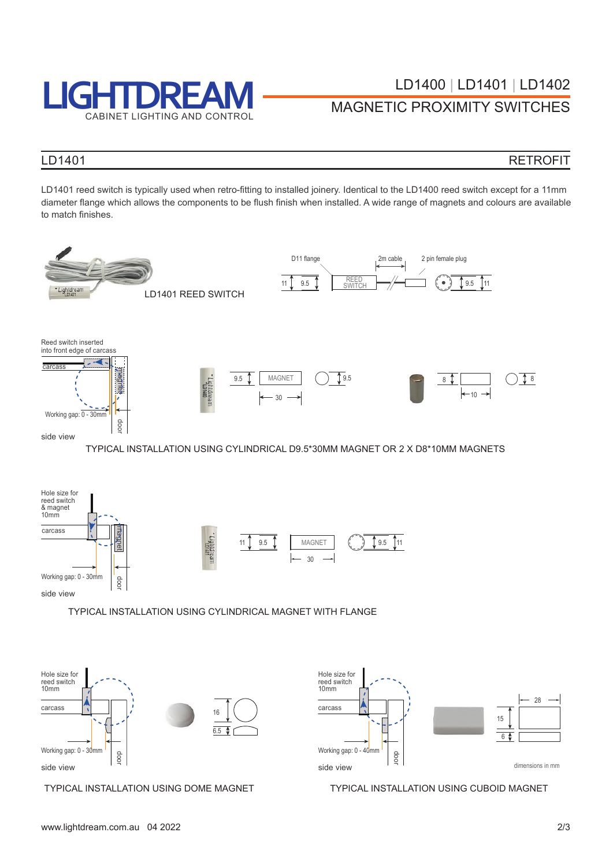

# LOT AND CONTROL MAGNETIC PROXIMITY SWITCHES

#### LD1401

#### RETROFIT

LD1401 reed switch is typically used when retro-fitting to installed joinery. Identical to the LD1400 reed switch except for a 11mm diameter flange which allows the components to be flush finish when installed. A wide range of magnets and colours are available to match finishes.







TYPICAL INSTALLATION USING DOME MAGNET TYPICAL INSTALLATION USING CUBOID MAGNET